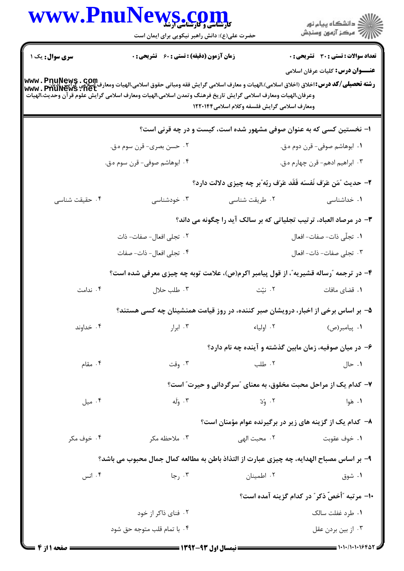|                        | WWW.PnuNews.com                                                                                                                                                                                                                                                |                                                                      |                                                         |  |
|------------------------|----------------------------------------------------------------------------------------------------------------------------------------------------------------------------------------------------------------------------------------------------------------|----------------------------------------------------------------------|---------------------------------------------------------|--|
|                        | حضرت علی(ع): دانش راهبر نیکویی برای ایمان است                                                                                                                                                                                                                  |                                                                      | ڪ دانشڪاه پيام نور<br>ر∕⊂ مرڪز آزمون وسنڊش              |  |
| <b>سری سوال :</b> یک ۱ | <b>زمان آزمون (دقیقه) : تستی : 60 ٪ تشریحی : 0</b>                                                                                                                                                                                                             |                                                                      | <b>تعداد سوالات : تستی : 30 ٪ تشریحی : 0</b>            |  |
|                        |                                                                                                                                                                                                                                                                |                                                                      | <b>عنـــوان درس:</b> کلیات عرفان اسلامی                 |  |
|                        | <b>رشته تحصیلی/کد درس:</b> اخلاق (اخلاق اسلامی)،الهیات و معارف اسلامی گرایش فقه ومبانی حقوق اسلامی،الهیات ومعارف اسلامی<br>WWW . PhuNews . net<br>وعرفان،الهيات ومعارف اسلامي گرايش تاريخ فرهنگ وتمدن اسلامي،الهيات ومعارف اسلامي گرايش علوم قرآن وحديث،الهيات |                                                                      |                                                         |  |
|                        |                                                                                                                                                                                                                                                                | ومعارف اسلامى گرايش فلسفه وكلام اسلامى١٢٢٠١۴۴                        |                                                         |  |
|                        |                                                                                                                                                                                                                                                                | ۱– نخستین کسی که به عنوان صوفی مشهور شده است، کیست و در چه قرنی است؟ |                                                         |  |
|                        | ۰۲ حسن بصری- قرن سوم ه.ق.                                                                                                                                                                                                                                      |                                                                      | ۰۱ ابوهاشم صوفی- قرن دوم ه.ق.                           |  |
|                        | ۰۴ ابوهاشم صوفي- قرن سوم ه.ق.                                                                                                                                                                                                                                  |                                                                      | ۰۳ ابراهيم ادهم- قرن چهارم ه.ق.                         |  |
|                        |                                                                                                                                                                                                                                                                | ۲- حديث "مَن عَرَف نَفسَه فَقَد عَرَف ربّه"بر چه چيزي دلالت دارد؟    |                                                         |  |
| ۰۴ حقیقت شناسی         | ۰۳ خودشناسی                                                                                                                                                                                                                                                    | ۰۲ طریقت شناسی                                                       | ۰۱ خداشناسی                                             |  |
|                        | ۳- در مرصاد العباد، ترتیب تجلیاتی که بر سالک آید را چگونه می داند؟                                                                                                                                                                                             |                                                                      |                                                         |  |
|                        | ۰۲ تجلی افعال- صفات- ذات                                                                                                                                                                                                                                       |                                                                      | ۰۱ تجلّی ذات- صفات- افعال                               |  |
|                        | ۰۴ تجلی افعال- ذات- صفات                                                                                                                                                                                                                                       |                                                                      | ۰۳ تجلی صفات- ذات- افعال                                |  |
|                        | ۴- در ترجمه "رساله قشیریه"، از قول پیامبر اکرم(ص)، علامت توبه چه چیزی معرفی شده است؟                                                                                                                                                                           |                                                                      |                                                         |  |
| ۰۴ ندامت               | ۰۳ طلب حلال                                                                                                                                                                                                                                                    | ۰۲ نیّت                                                              | ۰۱ قضای مافات                                           |  |
|                        | ۵– بر اساس برخی از اخبار، درویشان صبر کننده، در روز قیامت همنشینان چه کسی هستند؟                                                                                                                                                                               |                                                                      |                                                         |  |
| ۰۴ خداوند              | $\cdot$ ۲ ابرار                                                                                                                                                                                                                                                | ۰۲ اولیاء                                                            | ۰۱ پیامبر(ص)                                            |  |
|                        |                                                                                                                                                                                                                                                                |                                                                      | ۶– در میان صوفیه، زمان مابین گذشته و آینده چه نام دارد؟ |  |
| ۰۴ مقام                | ۰۳ وقت                                                                                                                                                                                                                                                         | ۰۲ طلب                                                               | ۰۱ حال                                                  |  |
|                        |                                                                                                                                                                                                                                                                | ۷- کدام یک از مراحل محبت مخلوق، به معنای "سرگردانی و حیرت" است؟      |                                                         |  |
| ۰۴ میل                 | ۰۳ وَلَه                                                                                                                                                                                                                                                       | ۰۲ وُدّ                                                              | ۰۱ هَوا                                                 |  |
|                        |                                                                                                                                                                                                                                                                | ۸– کدام یک از گزینه های زیر در برگیرنده عوام مؤمنان است؟             |                                                         |  |
| ۰۴ خوف مکر             | ۰۳ ملاحظه مکر                                                                                                                                                                                                                                                  | ۰۲ محبت الهي                                                         | ۰۱ خوف عقوبت                                            |  |
|                        | ۹- بر اساس مصباح الهدايه، چه چيزي عبارت از التذاذ باطن به مطالعه كمال جمال محبوب مي باشد؟                                                                                                                                                                      |                                                                      |                                                         |  |
| ۰۴ انس                 | ۰۳ رجا                                                                                                                                                                                                                                                         | ۰۲ اطمينان                                                           | ۰۱ شوق                                                  |  |
|                        |                                                                                                                                                                                                                                                                |                                                                      | ۱۰– مرتبه "أخصّ ذكر" در كدام گزینه آمده است؟            |  |
|                        | ۰۲ فنای ذاکر از خود                                                                                                                                                                                                                                            |                                                                      | ۰۱ طرد غفلت سالک                                        |  |
|                        | ۰۴ با تمام قلب متوجه حق شود                                                                                                                                                                                                                                    |                                                                      | ۰۳ از بین بردن عقل                                      |  |
|                        |                                                                                                                                                                                                                                                                |                                                                      |                                                         |  |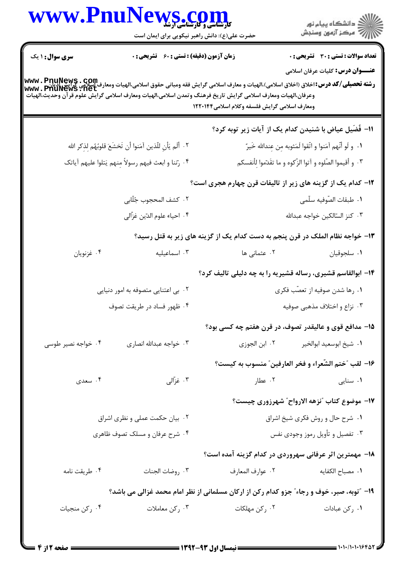|                                     | www.PnuNews.com<br>حضرت علی(ع): دانش راهبر نیکویی برای ایمان است                                                                                                                                                                                                                                                     |                                                                               |                                                                                          |
|-------------------------------------|----------------------------------------------------------------------------------------------------------------------------------------------------------------------------------------------------------------------------------------------------------------------------------------------------------------------|-------------------------------------------------------------------------------|------------------------------------------------------------------------------------------|
| <b>سری سوال : ۱ یک</b>              | <b>زمان آزمون (دقیقه) : تستی : 60 ٪ تشریحی : 0</b><br><b>رشته تحصيلي/كد درس:</b> اخلاق (اخلاق اسلامي)،الهيات و معارف اسلامي گرايش فقه ومباني حقوق اسلامي،الهيات ومعارف اسلامي<br>WWW . PhuNews . net<br>وعرفان،الهيات ومعارف اسلامي گرايش تاريخ فرهنگ وتمدن اسلامي،الهيات ومعارف اسلامي گرايش علوم قرآن وحديث،الهيات | ومعارف اسلامي گرايش فلسفه وكلام اسلامي1۲۲۰۱۴۴                                 | <b>تعداد سوالات : تستی : 30 - تشریحی : 0</b><br><b>عنــــوان درس:</b> کلیات عرفان اسلامی |
|                                     |                                                                                                                                                                                                                                                                                                                      | اا− فُضَیل عیاض با شنیدن کدام یک از آیات زیر توبه کرد؟                        |                                                                                          |
|                                     | ٢. أَلَم يَأْنِ للَّذينِ آمَنوا أَن تَخشَعَ قلوبُهُم لِذِكرِ الله                                                                                                                                                                                                                                                    | ٠١. و لَو أنَّهم آمَنوا و اتَّقوا لَمَثوبه مِن عِندالله خَيرٌ                 |                                                                                          |
|                                     | ۰۴ رتنا و ابعث فيهم رسولاً مِنهم يَتلوا عليهم أياتك                                                                                                                                                                                                                                                                  | ۰۳ و أقيموا الصّلوه و آتوا الزّكوه و ما تقَدّموا لِأنفسكم                     |                                                                                          |
|                                     |                                                                                                                                                                                                                                                                                                                      | <b>۱۲</b> - کدام یک از گزینه های زیر از تالیفات قرن چهارم هجری است؟           |                                                                                          |
|                                     | ٢. كشف المحجوب جُلّابي                                                                                                                                                                                                                                                                                               |                                                                               | ٠١. طبقات الصّوفيه سلّمى                                                                 |
| ۴. احياء علوم الدّين غزّالي         |                                                                                                                                                                                                                                                                                                                      | ٠٣ كنز السّالكين خواجه عبدالله                                                |                                                                                          |
|                                     |                                                                                                                                                                                                                                                                                                                      | ۱۳- خواجه نظام الملک در قرن پنجم به دست کدام یک از گزینه های زیر به قتل رسید؟ |                                                                                          |
| ۰۴ غزنويان                          | ۰۳ اسماعیلیه                                                                                                                                                                                                                                                                                                         | ۰۲ عثمانی ها                                                                  | ٠١ سلجوقيان                                                                              |
|                                     |                                                                                                                                                                                                                                                                                                                      | ۱۴- ابوالقاسم قشیری، رساله قشیریه را به چه دلیلی تالیف کرد؟                   |                                                                                          |
| ۰۲ بی اعتنایی متصوفه به امور دنیایی |                                                                                                                                                                                                                                                                                                                      | ۰۱ رها شدن صوفیه از تعصّب فکری                                                |                                                                                          |
| ۰۴ ظهور فساد در طريقت تصوف          |                                                                                                                                                                                                                                                                                                                      |                                                                               | ۰۳ نزاع و اختلاف مذهبی صوفیه                                                             |
|                                     |                                                                                                                                                                                                                                                                                                                      | 1۵– مدافع قوی و عالیقدر تصوف، در قرن هفتم چه کسی بود؟                         |                                                                                          |
| ۰۴ خواجه نصیر طوسی                  | ۰۳ خواجه عبدالله انصارى                                                                                                                                                                                                                                                                                              | ٠١ شيخ ابوسعيد ابوالخير مسمعد ٢٠ ابن الجوزي                                   |                                                                                          |
|                                     |                                                                                                                                                                                                                                                                                                                      | ١٦- لقب "ختم الشّعراء و فخر العارفين" منسوب به كيست؟                          |                                                                                          |
| ۰۴ سعدی                             | ۰۳ غزّالی                                                                                                                                                                                                                                                                                                            | ۰۲ عطار                                                                       | ۰۱ سنایی                                                                                 |
|                                     |                                                                                                                                                                                                                                                                                                                      |                                                                               | ۱۷- موضوع کتاب "نزهه الارواح" شهرزوری چیست؟                                              |
| ۰۲ بیان حکمت عملی و نظری اشراق      |                                                                                                                                                                                                                                                                                                                      | ٠١ شرح حال و روش فكرى شيخ اشراق                                               |                                                                                          |
| ۰۴ شرح عرفان و مسلک تصوف ظاهری      |                                                                                                                                                                                                                                                                                                                      | ۰۳ تفصیل و تأویل رموز وجودی نفس                                               |                                                                                          |
|                                     |                                                                                                                                                                                                                                                                                                                      | 1۸– مهمترین اثر عرفانی سهروردی در کدام گزینه آمده است؟                        |                                                                                          |
| ۰۴ طريقت نامه                       | ٠٣ روضات الجنات                                                                                                                                                                                                                                                                                                      | ٠٢ عوارف المعارف                                                              | <b>۱</b> . مصباح الكفايه                                                                 |
|                                     | ۱۹- "توبه، صبر، خوف و رجاء" جزو کدام رکن از ارکان مسلمانی از نظر امام محمد غزالی می باشد؟                                                                                                                                                                                                                            |                                                                               |                                                                                          |
| ۰۴ رکن منجیات                       | ۰۳ رکن معاملات                                                                                                                                                                                                                                                                                                       | ۰۲ رکن مهلکات                                                                 | ٠١ ركن عبادات                                                                            |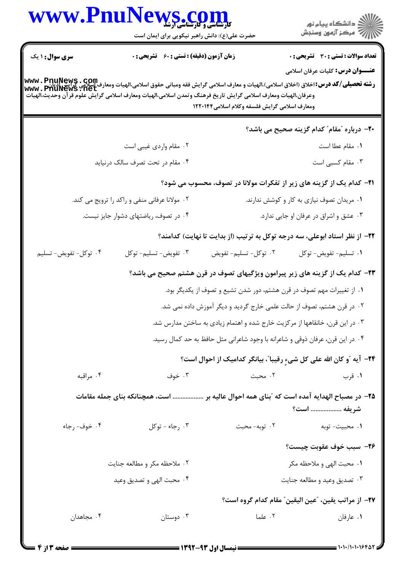| WWW.Phur               | <b>کارشناسی و کارشناشی آرشد</b><br>حضرت علی(ع): دانش راهبر نیکویی برای ایمان است                                                                                                                                                                                                                             |                                                                               | ڪ دانشڪاه پيام نور<br>ر∕⊂ مرڪز آزمون وسنڊش                                               |
|------------------------|--------------------------------------------------------------------------------------------------------------------------------------------------------------------------------------------------------------------------------------------------------------------------------------------------------------|-------------------------------------------------------------------------------|------------------------------------------------------------------------------------------|
| <b>سری سوال : ۱ یک</b> | <b>زمان آزمون (دقیقه) : تستی : 60 ٪ تشریحی : 0</b><br>رشته تحصيلي/كد درس:اخلاق (اخلاق اسلامي)،الهيات و معارف اسلامي گرايش فقه ومباني حقوق اسلامي،الهيات ومعارف اسلامي<br>www . PhuNews . net<br>وعرفان،الهيات ومعارف اسلامي گرايش تاريخ فرهنگ وتمدن اسلامي،الهيات ومعارف اسلامي گرايش علوم قرآن وحديث،الهيات | ومعارف اسلامي گرايش فلسفه وكلام اسلامي ۱۲۲۰۱۴۴                                | <b>تعداد سوالات : تستی : 30 ٪ تشریحی : 0</b><br><b>عنــــوان درس:</b> کلیات عرفان اسلامی |
|                        |                                                                                                                                                                                                                                                                                                              |                                                                               | <b>۲۰</b> - درباره "مقام" کدام گزینه صحیح می باشد؟                                       |
|                        | ۰۲ مقام واردی غیبی است                                                                                                                                                                                                                                                                                       |                                                                               | ٠١. مقام عطا است                                                                         |
|                        | ۰۴ مقام در تحت تصرف سالک درنیاید                                                                                                                                                                                                                                                                             |                                                                               | ۰۳ مقام کسبی است                                                                         |
|                        |                                                                                                                                                                                                                                                                                                              |                                                                               | <b>۲۱</b> - کدام یک از گزینه های زیر از تفکرات مولانا در تصوف، محسوب می شود؟             |
|                        | ۰۲ مولانا عرفانی منفی و راکد را ترویج می کند.                                                                                                                                                                                                                                                                |                                                                               | ۰۱ مریدان تصوف نیازی به کار و کوشش ندارند.                                               |
|                        | ۰۴ در تصوف، ریاضتهای دشوار جایز نیست.                                                                                                                                                                                                                                                                        |                                                                               | ٠٣ عشق واشراق در عرفان او جايي ندارد.                                                    |
|                        |                                                                                                                                                                                                                                                                                                              |                                                                               | ۲۲– از نظر استاد ابوعلی، سه درجه توکل به ترتیب (از بدایت تا نهایت) کدامند؟               |
| ۰۴ توکل- تفویض- تسلیم  | ۰۳ تفويض- تسليم- توكل                                                                                                                                                                                                                                                                                        | ۰۲ توکل- تسلیم- تفویض                                                         | ۰۱ تسليم- تفويض- توكل                                                                    |
|                        |                                                                                                                                                                                                                                                                                                              |                                                                               | <b>۲۳</b> - کدام یک از گزینه های زیر پیرامون ویژگیهای تصوف در قرن هشتم صحیح می باشد؟     |
|                        |                                                                                                                                                                                                                                                                                                              | ۰۱ از تغییرات مهم تصوف در قرن هشتم، دور شدن تشیع و تصوف از یکدیگر بود.        |                                                                                          |
|                        |                                                                                                                                                                                                                                                                                                              | ۲ . در قرن هشتم، تصوف از حالت علمی خارج گردید و دیگر آموزش داده نمی شد.       |                                                                                          |
|                        |                                                                                                                                                                                                                                                                                                              | ۰۳ در این قرن، خانقاهها از مرکزیت خارج شده و اهتمام زیادی به ساختن مدارس شد.  |                                                                                          |
|                        |                                                                                                                                                                                                                                                                                                              | ۰۴ در این قرن، عرفان ذوقی و شاعرانه با وجود شاعرانی مثل حافظ به حد کمال رسید. |                                                                                          |
|                        |                                                                                                                                                                                                                                                                                                              |                                                                               | <b>۲۴</b> - آیه آو کان الله علی کل شیءِ رقیبا"، بیانگر کدامیک از احوال است؟              |
| ۰۴ مراقبه              | ۰۳ خوف                                                                                                                                                                                                                                                                                                       | ۰۲ محبت                                                                       | ۰۱ قرب                                                                                   |
|                        | ۲۵– در مصباح الهدایه آمده است که "بنای همه احوال عالیه بر  است، همچنانکه بنای جمله مقامات                                                                                                                                                                                                                    |                                                                               | شريفه  است؟                                                                              |
| ۰۴ خوف- رجاء           | ۰۳ رجاء - توكل                                                                                                                                                                                                                                                                                               | ۰۲ توبه- محبت                                                                 | 1. محبيت- توبه                                                                           |
|                        |                                                                                                                                                                                                                                                                                                              |                                                                               | ٢٦- سبب خوف عقوبت چيست؟                                                                  |
|                        | ۲. ملاحظه مکر و مطالعه جنایت                                                                                                                                                                                                                                                                                 |                                                                               | ۰۱ محبت الهي و ملاحظه مكر                                                                |
|                        | ۰۴ محبت الهي و تصديق وعيد                                                                                                                                                                                                                                                                                    |                                                                               | ۰۳ تصديق وعيد و مطالعه جنايت                                                             |
|                        |                                                                                                                                                                                                                                                                                                              |                                                                               | ٢٧- از مراتب يقين، "عين اليقين" مقام كدام گروه است؟                                      |
| ۰۴ مجاهدان             | ۰۳ دوستان                                                                                                                                                                                                                                                                                                    | ۰۲ علما                                                                       | ٠١. عارفان                                                                               |
|                        |                                                                                                                                                                                                                                                                                                              |                                                                               |                                                                                          |